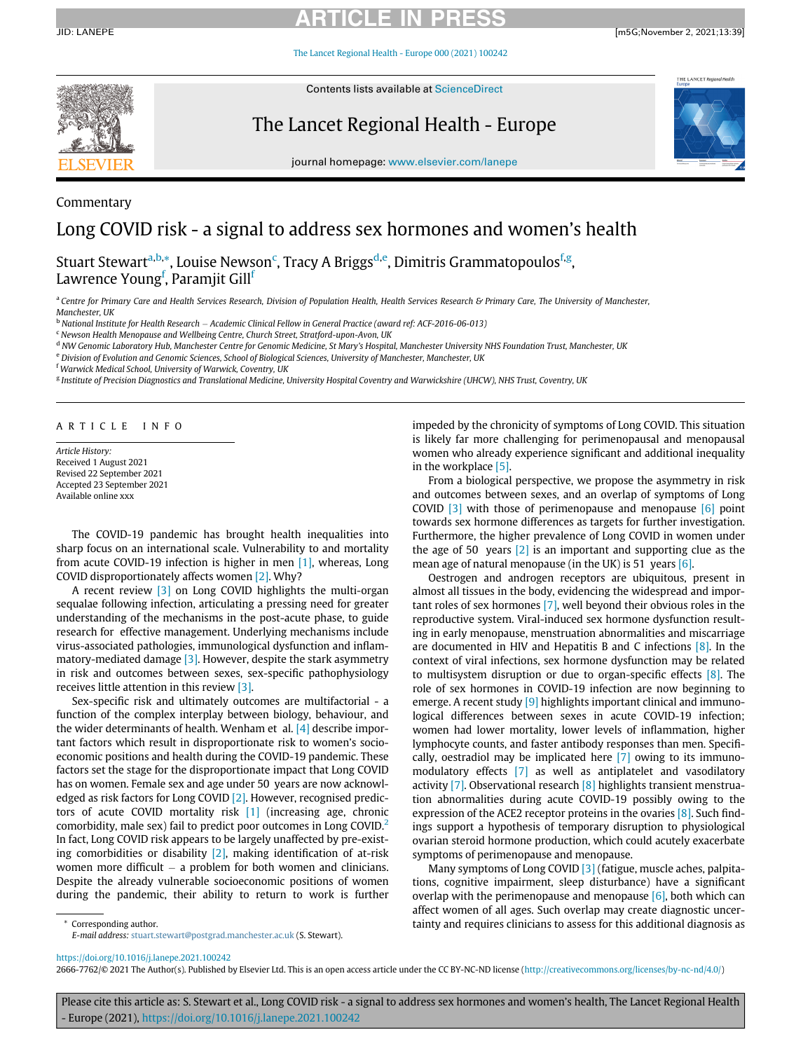# ARTICLE IN PRESS

JID: LANEPE [m5G;November 2, 2021;13:39]

[The Lancet Regional Health - Europe 000 \(2021\) 100242](https://doi.org/10.1016/j.lanepe.2021.100242)



Commentary

Contents lists available at ScienceDirect

The Lancet Regional Health - Europe



journal homepage: [www.elsevier.com/lanepe](http://www.elsevier.com/lanepe)

# Long COVID risk - a signal to address sex hormones and women's health

Stu[a](#page-0-0)rt Stewart<sup>a[,b](#page-0-1),</sup>[\\*](#page-0-2), Louise Newson<sup>[c](#page-0-3)</sup>, Tracy A Briggs<sup>[d,](#page-0-4)[e](#page-0-5)</sup>, Dimitris Grammatopoulos<sup>[f](#page-0-6)[,g](#page-0-7)</sup>, Lawrence Young<sup>[f](#page-0-6)</sup>, Paramjit Gill<sup>f</sup>

<span id="page-0-0"></span>a Centre for Primary Care and Health Services Research, Division of Population Health, Health Services Research & Primary Care, The University of Manchester, Manchester, UK

<span id="page-0-1"></span>b National Institute for Health Research – Academic Clinical Fellow in General Practice (award ref: ACF-2016-06-013) <sup>c</sup> Newson Health Menopause and Wellbeing Centre, Church Street, Stratford-upon-Avon, UK

<span id="page-0-3"></span>

<span id="page-0-4"></span><sup>d</sup> NW Genomic Laboratory Hub, Manchester Centre for Genomic Medicine, St Mary's Hospital, Manchester University NHS Foundation Trust, Manchester, UK

<span id="page-0-5"></span>e Division of Evolution and Genomic Sciences, School of Biological Sciences, University of Manchester, Manchester, UK

<span id="page-0-6"></span><sup>f</sup> Warwick Medical School, University of Warwick, Coventry, UK

<span id="page-0-7"></span><sup>g</sup> Institute of Precision Diagnostics and Translational Medicine, University Hospital Coventry and Warwickshire (UHCW), NHS Trust, Coventry, UK

ARTICLE INFO

Article History: Received 1 August 2021 Revised 22 September 2021 Accepted 23 September 2021 Available online xxx

The COVID-19 pandemic has brought health inequalities into sharp focus on an international scale. Vulnerability to and mortality from acute COVID-19 infection is higher in men [\[1\],](#page-1-0) whereas, Long COVID disproportionately affects women [\[2\].](#page-1-1) Why?

A recent review [\[3\]](#page-1-2) on Long COVID highlights the multi-organ sequalae following infection, articulating a pressing need for greater understanding of the mechanisms in the post-acute phase, to guide research for effective management. Underlying mechanisms include virus-associated pathologies, immunological dysfunction and inflammatory-mediated damage [\[3\]](#page-1-2). However, despite the stark asymmetry in risk and outcomes between sexes, sex-specific pathophysiology receives little attention in this review [\[3\].](#page-1-2)

Sex-specific risk and ultimately outcomes are multifactorial - a function of the complex interplay between biology, behaviour, and the wider determinants of health. Wenham et al. [\[4\]](#page-1-3) describe important factors which result in disproportionate risk to women's socioeconomic positions and health during the COVID-19 pandemic. These factors set the stage for the disproportionate impact that Long COVID has on women. Female sex and age under 50 years are now acknowl-edged as risk factors for Long COVID [\[2\]](#page-1-1). However, recognised predictors of acute COVID mortality risk [\[1\]](#page-1-0) (increasing age, chronic comorbidity, male sex) fail to predict poor outcomes in Long COVID.[2](#page-1-1) In fact, Long COVID risk appears to be largely unaffected by pre-existing comorbidities or disability  $[2]$ , making identification of at-risk women more difficult  $-$  a problem for both women and clinicians. Despite the already vulnerable socioeconomic positions of women during the pandemic, their ability to return to work is further impeded by the chronicity of symptoms of Long COVID. This situation is likely far more challenging for perimenopausal and menopausal women who already experience significant and additional inequality in the workplace [\[5\]](#page-1-4).

From a biological perspective, we propose the asymmetry in risk and outcomes between sexes, and an overlap of symptoms of Long COVID  $\begin{bmatrix} 3 \end{bmatrix}$  with those of perimenopause and menopause  $\begin{bmatrix} 6 \end{bmatrix}$  point towards sex hormone differences as targets for further investigation. Furthermore, the higher prevalence of Long COVID in women under the age of 50 years [\[2\]](#page-1-1) is an important and supporting clue as the mean age of natural menopause (in the UK) is 51 years [\[6\]](#page-1-5).

Oestrogen and androgen receptors are ubiquitous, present in almost all tissues in the body, evidencing the widespread and important roles of sex hormones [\[7\],](#page-2-0) well beyond their obvious roles in the reproductive system. Viral-induced sex hormone dysfunction resulting in early menopause, menstruation abnormalities and miscarriage are documented in HIV and Hepatitis B and C infections [\[8\]](#page-2-1). In the context of viral infections, sex hormone dysfunction may be related to multisystem disruption or due to organ-specific effects [\[8\].](#page-2-1) The role of sex hormones in COVID-19 infection are now beginning to emerge. A recent study  $[9]$  highlights important clinical and immunological differences between sexes in acute COVID-19 infection; women had lower mortality, lower levels of inflammation, higher lymphocyte counts, and faster antibody responses than men. Specifically, oestradiol may be implicated here [\[7\]](#page-2-0) owing to its immunomodulatory effects [\[7\]](#page-2-0) as well as antiplatelet and vasodilatory activity [\[7\].](#page-2-0) Observational research [\[8\]](#page-2-1) highlights transient menstruation abnormalities during acute COVID-19 possibly owing to the expression of the ACE2 receptor proteins in the ovaries [\[8\].](#page-2-1) Such findings support a hypothesis of temporary disruption to physiological ovarian steroid hormone production, which could acutely exacerbate symptoms of perimenopause and menopause.

Many symptoms of Long COVID [\[3\]](#page-1-2) (fatigue, muscle aches, palpitations, cognitive impairment, sleep disturbance) have a significant overlap with the perimenopause and menopause  $[6]$ , both which can affect women of all ages. Such overlap may create diagnostic uncer- Corresponding author. **tainty and requires clinicians to assess for this additional diagnosis as** the corresponding author.

<span id="page-0-2"></span>E-mail address: [stuart.stewart@postgrad.manchester.ac.uk](mailto:stuart.stewart@postgrad.manchester.ac.uk) (S. Stewart).

<https://doi.org/10.1016/j.lanepe.2021.100242>

2666-7762/© 2021 The Author(s). Published by Elsevier Ltd. This is an open access article under the CC BY-NC-ND license [\(http://creativecommons.org/licenses/by-nc-nd/4.0/\)](http://creativecommons.org/licenses/by-nc-nd/4.0/)

Please cite this article as: S. Stewart et al., Long COVID risk - a signal to address sex hormones and women's health, The Lancet Regional Health - Europe (2021), <https://doi.org/10.1016/j.lanepe.2021.100242>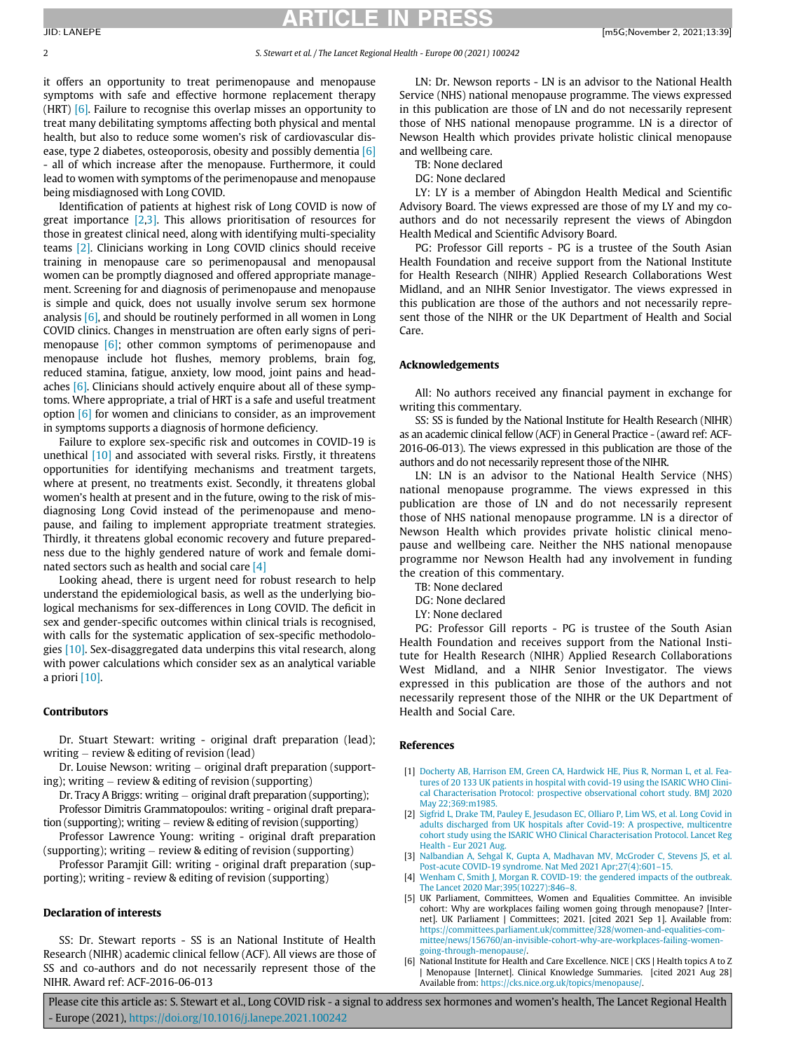# **RTICLE**

### 2 S. Stewart et al. / The Lancet Regional Health - Europe 00 (2021) 100242

it offers an opportunity to treat perimenopause and menopause symptoms with safe and effective hormone replacement therapy (HRT)  $[6]$ . Failure to recognise this overlap misses an opportunity to treat many debilitating symptoms affecting both physical and mental health, but also to reduce some women's risk of cardiovascular disease, type 2 diabetes, osteoporosis, obesity and possibly dementia [\[6\]](#page-1-5) - all of which increase after the menopause. Furthermore, it could lead to women with symptoms of the perimenopause and menopause being misdiagnosed with Long COVID.

Identification of patients at highest risk of Long COVID is now of great importance [\[2](#page-1-1),[3\]](#page-1-2). This allows prioritisation of resources for those in greatest clinical need, along with identifying multi-speciality teams [\[2\]](#page-1-1). Clinicians working in Long COVID clinics should receive training in menopause care so perimenopausal and menopausal women can be promptly diagnosed and offered appropriate management. Screening for and diagnosis of perimenopause and menopause is simple and quick, does not usually involve serum sex hormone analysis [\[6\],](#page-1-5) and should be routinely performed in all women in Long COVID clinics. Changes in menstruation are often early signs of perimenopause [\[6\]](#page-1-5); other common symptoms of perimenopause and menopause include hot flushes, memory problems, brain fog, reduced stamina, fatigue, anxiety, low mood, joint pains and headaches [\[6\].](#page-1-5) Clinicians should actively enquire about all of these symptoms. Where appropriate, a trial of HRT is a safe and useful treatment option [\[6\]](#page-1-5) for women and clinicians to consider, as an improvement in symptoms supports a diagnosis of hormone deficiency.

Failure to explore sex-specific risk and outcomes in COVID-19 is unethical [\[10\]](#page-2-3) and associated with several risks. Firstly, it threatens opportunities for identifying mechanisms and treatment targets, where at present, no treatments exist. Secondly, it threatens global women's health at present and in the future, owing to the risk of misdiagnosing Long Covid instead of the perimenopause and menopause, and failing to implement appropriate treatment strategies. Thirdly, it threatens global economic recovery and future preparedness due to the highly gendered nature of work and female dominated sectors such as health and social care [\[4\]](#page-1-3)

Looking ahead, there is urgent need for robust research to help understand the epidemiological basis, as well as the underlying biological mechanisms for sex-differences in Long COVID. The deficit in sex and gender-specific outcomes within clinical trials is recognised, with calls for the systematic application of sex-specific methodologies [\[10\]](#page-2-3). Sex-disaggregated data underpins this vital research, along with power calculations which consider sex as an analytical variable a priori [\[10\].](#page-2-3)

### Contributors

Dr. Stuart Stewart: writing - original draft preparation (lead); writing  $-$  review & editing of revision (lead)

<span id="page-1-0"></span>Dr. Louise Newson: writing  $-$  original draft preparation (supporting); writing  $-$  review & editing of revision (supporting)

Dr. Tracy A Briggs: writing  $-$  original draft preparation (supporting); Professor Dimitris Grammatopoulos: writing - original draft prepara-

<span id="page-1-1"></span>tion (supporting); writing  $-$  review & editing of revision (supporting) Professor Lawrence Young: writing - original draft preparation (supporting); writing  $-$  review & editing of revision (supporting)

<span id="page-1-3"></span><span id="page-1-2"></span>Professor Paramjit Gill: writing - original draft preparation (supporting); writing - review & editing of revision (supporting)

#### <span id="page-1-4"></span>Declaration of interests

<span id="page-1-5"></span>SS: Dr. Stewart reports - SS is an National Institute of Health Research (NIHR) academic clinical fellow (ACF). All views are those of SS and co-authors and do not necessarily represent those of the NIHR. Award ref: ACF-2016-06-013

LN: Dr. Newson reports - LN is an advisor to the National Health Service (NHS) national menopause programme. The views expressed in this publication are those of LN and do not necessarily represent those of NHS national menopause programme. LN is a director of Newson Health which provides private holistic clinical menopause and wellbeing care.

TB: None declared

DG: None declared

LY: LY is a member of Abingdon Health Medical and Scientific Advisory Board. The views expressed are those of my LY and my coauthors and do not necessarily represent the views of Abingdon Health Medical and Scientific Advisory Board.

PG: Professor Gill reports - PG is a trustee of the South Asian Health Foundation and receive support from the National Institute for Health Research (NIHR) Applied Research Collaborations West Midland, and an NIHR Senior Investigator. The views expressed in this publication are those of the authors and not necessarily represent those of the NIHR or the UK Department of Health and Social Care.

### Acknowledgements

All: No authors received any financial payment in exchange for writing this commentary.

SS: SS is funded by the National Institute for Health Research (NIHR) as an academic clinical fellow (ACF) in General Practice - (award ref: ACF-2016-06-013). The views expressed in this publication are those of the authors and do not necessarily represent those of the NIHR.

LN: LN is an advisor to the National Health Service (NHS) national menopause programme. The views expressed in this publication are those of LN and do not necessarily represent those of NHS national menopause programme. LN is a director of Newson Health which provides private holistic clinical menopause and wellbeing care. Neither the NHS national menopause programme nor Newson Health had any involvement in funding the creation of this commentary.

TB: None declared

- DG: None declared
- LY: None declared

PG: Professor Gill reports - PG is trustee of the South Asian Health Foundation and receives support from the National Institute for Health Research (NIHR) Applied Research Collaborations West Midland, and a NIHR Senior Investigator. The views expressed in this publication are those of the authors and not necessarily represent those of the NIHR or the UK Department of Health and Social Care.

### References

- [1] [Docherty AB, Harrison EM, Green CA, Hardwick HE, Pius R, Norman L, et al. Fea](http://refhub.elsevier.com/S2666-7762(21)00228-3/sbref0001)[tures of 20 133 UK patients in hospital with covid-19 using the ISARIC WHO Clini](http://refhub.elsevier.com/S2666-7762(21)00228-3/sbref0001)[cal Characterisation Protocol: prospective observational cohort study. BMJ 2020](http://refhub.elsevier.com/S2666-7762(21)00228-3/sbref0001) [May 22;369:m1985.](http://refhub.elsevier.com/S2666-7762(21)00228-3/sbref0001)
- [2] [Sigfrid L, Drake TM, Pauley E, Jesudason EC, Olliaro P, Lim WS, et al. Long Covid in](http://refhub.elsevier.com/S2666-7762(21)00228-3/sbref0002) [adults discharged from UK hospitals after Covid-19: A prospective, multicentre](http://refhub.elsevier.com/S2666-7762(21)00228-3/sbref0002) [cohort study using the ISARIC WHO Clinical Characterisation Protocol. Lancet Reg](http://refhub.elsevier.com/S2666-7762(21)00228-3/sbref0002) [Health - Eur 2021 Aug.](http://refhub.elsevier.com/S2666-7762(21)00228-3/sbref0002)
- [3] [Nalbandian A, Sehgal K, Gupta A, Madhavan MV, McGroder C, Stevens JS, et al.](http://refhub.elsevier.com/S2666-7762(21)00228-3/sbref0003) [Post-acute COVID-19 syndrome. Nat Med 2021 Apr;27\(4\):601](http://refhub.elsevier.com/S2666-7762(21)00228-3/sbref0003)–15.
- [4] [Wenham C, Smith J, Morgan R. COVID-19: the gendered impacts of the outbreak.](http://refhub.elsevier.com/S2666-7762(21)00228-3/sbref0004) [The Lancet 2020 Mar;395\(10227\):846](http://refhub.elsevier.com/S2666-7762(21)00228-3/sbref0004)–8.
- [5] UK Parliament, Committees, Women and Equalities Committee. An invisible cohort: Why are workplaces failing women going through menopause? [Internet]. UK Parliament | Committees; 2021. [cited 2021 Sep 1]. Available from: [https://committees.parliament.uk/committee/328/women-and-equalities-com](https://committees.parliament.uk/committee/328/women-and-equalities-committee/news/156760/an-invisible-cohort-why-are-workplaces-failing-women-going-through-menopause/)[mittee/news/156760/an-invisible-cohort-why-are-workplaces-failing-women](https://committees.parliament.uk/committee/328/women-and-equalities-committee/news/156760/an-invisible-cohort-why-are-workplaces-failing-women-going-through-menopause/)[going-through-menopause/.](https://committees.parliament.uk/committee/328/women-and-equalities-committee/news/156760/an-invisible-cohort-why-are-workplaces-failing-women-going-through-menopause/)
- [6] National Institute for Health and Care Excellence. NICE | CKS | Health topics A to Z | Menopause [Internet]. Clinical Knowledge Summaries. [cited 2021 Aug 28] Available from: [https://cks.nice.org.uk/topics/menopause/.](https://cks.nice.org.uk/topics/menopause/)

Please cite this article as: S. Stewart et al., Long COVID risk - a signal to address sex hormones and women's health, The Lancet Regional Health - Europe (2021), <https://doi.org/10.1016/j.lanepe.2021.100242>